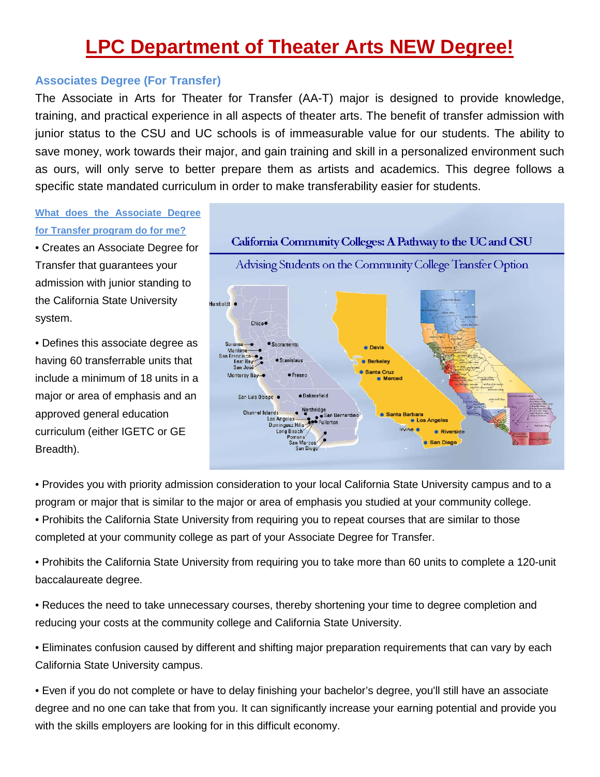# **LPC Department of Theater Arts NEW Degree!**

#### **Associates Degree (For Transfer)**

The Associate in Arts for Theater for Transfer (AA-T) major is designed to provide knowledge, training, and practical experience in all aspects of theater arts. The benefit of transfer admission with junior status to the CSU and UC schools is of immeasurable value for our students. The ability to save money, work towards their major, and gain training and skill in a personalized environment such as ours, will only serve to better prepare them as artists and academics. This degree follows a specific state mandated curriculum in order to make transferability easier for students.

## **What does the Associate Degree for Transfer program do for me?**

• Creates an Associate Degree for Transfer that guarantees your admission with junior standing to the California State University system.

• Defines this associate degree as having 60 transferrable units that include a minimum of 18 units in a major or area of emphasis and an approved general education curriculum (either IGETC or GE Breadth).



• Provides you with priority admission consideration to your local California State University campus and to a program or major that is similar to the major or area of emphasis you studied at your community college. • Prohibits the California State University from requiring you to repeat courses that are similar to those

completed at your community college as part of your Associate Degree for Transfer.

• Prohibits the California State University from requiring you to take more than 60 units to complete a 120-unit baccalaureate degree.

• Reduces the need to take unnecessary courses, thereby shortening your time to degree completion and reducing your costs at the community college and California State University.

• Eliminates confusion caused by different and shifting major preparation requirements that can vary by each California State University campus.

• Even if you do not complete or have to delay finishing your bachelor's degree, you'll still have an associate degree and no one can take that from you. It can significantly increase your earning potential and provide you with the skills employers are looking for in this difficult economy.